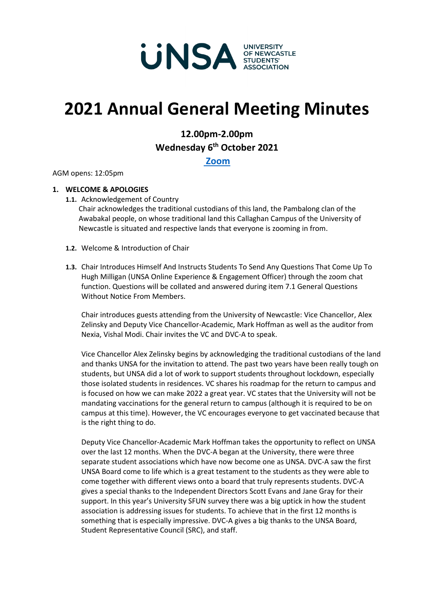

# **2021 Annual General Meeting Minutes**

# **12.00pm-2.00pm Wednesday 6th October 2021**

**[Zoom](https://uonewcastle.zoom.us/j/87521564663)**

AGM opens: 12:05pm

# **1. WELCOME & APOLOGIES**

**1.1.** Acknowledgement of Country

Chair acknowledges the traditional custodians of this land, the Pambalong clan of the Awabakal people, on whose traditional land this Callaghan Campus of the University of Newcastle is situated and respective lands that everyone is zooming in from.

- **1.2.** Welcome & Introduction of Chair
- **1.3.** Chair Introduces Himself And Instructs Students To Send Any Questions That Come Up To Hugh Milligan (UNSA Online Experience & Engagement Officer) through the zoom chat function. Questions will be collated and answered during item 7.1 General Questions Without Notice From Members.

Chair introduces guests attending from the University of Newcastle: Vice Chancellor, Alex Zelinsky and Deputy Vice Chancellor-Academic, Mark Hoffman as well as the auditor from Nexia, Vishal Modi. Chair invites the VC and DVC-A to speak.

Vice Chancellor Alex Zelinsky begins by acknowledging the traditional custodians of the land and thanks UNSA for the invitation to attend. The past two years have been really tough on students, but UNSA did a lot of work to support students throughout lockdown, especially those isolated students in residences. VC shares his roadmap for the return to campus and is focused on how we can make 2022 a great year. VC states that the University will not be mandating vaccinations for the general return to campus (although it is required to be on campus at this time). However, the VC encourages everyone to get vaccinated because that is the right thing to do.

Deputy Vice Chancellor-Academic Mark Hoffman takes the opportunity to reflect on UNSA over the last 12 months. When the DVC-A began at the University, there were three separate student associations which have now become one as UNSA. DVC-A saw the first UNSA Board come to life which is a great testament to the students as they were able to come together with different views onto a board that truly represents students. DVC-A gives a special thanks to the Independent Directors Scott Evans and Jane Gray for their support. In this year's University SFUN survey there was a big uptick in how the student association is addressing issues for students. To achieve that in the first 12 months is something that is especially impressive. DVC-A gives a big thanks to the UNSA Board, Student Representative Council (SRC), and staff.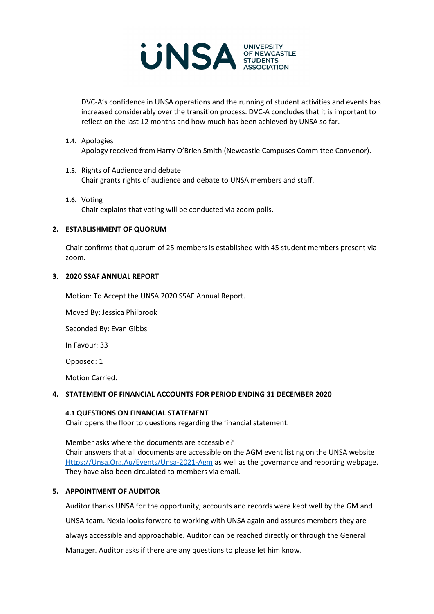

DVC-A's confidence in UNSA operations and the running of student activities and events has increased considerably over the transition process. DVC-A concludes that it is important to reflect on the last 12 months and how much has been achieved by UNSA so far.

#### **1.4.** Apologies

Apology received from Harry O'Brien Smith (Newcastle Campuses Committee Convenor).

#### **1.5.** Rights of Audience and debate Chair grants rights of audience and debate to UNSA members and staff.

**1.6.** Voting Chair explains that voting will be conducted via zoom polls.

#### **2. ESTABLISHMENT OF QUORUM**

Chair confirms that quorum of 25 members is established with 45 student members present via zoom.

#### **3. 2020 SSAF ANNUAL REPORT**

Motion: To Accept the UNSA 2020 SSAF Annual Report.

Moved By: Jessica Philbrook

Seconded By: Evan Gibbs

In Favour: 33

Opposed: 1

Motion Carried.

# **4. STATEMENT OF FINANCIAL ACCOUNTS FOR PERIOD ENDING 31 DECEMBER 2020**

#### **4.1 QUESTIONS ON FINANCIAL STATEMENT**

Chair opens the floor to questions regarding the financial statement.

Member asks where the documents are accessible? Chair answers that all documents are accessible on the AGM event listing on the UNSA website [Https://Unsa.Org.Au/Events/Unsa-2021-Agm](https://unsa.org.au/Events/unsa-2021-agm) as well as the governance and reporting webpage. They have also been circulated to members via email.

#### **5. APPOINTMENT OF AUDITOR**

Auditor thanks UNSA for the opportunity; accounts and records were kept well by the GM and UNSA team. Nexia looks forward to working with UNSA again and assures members they are always accessible and approachable. Auditor can be reached directly or through the General Manager. Auditor asks if there are any questions to please let him know.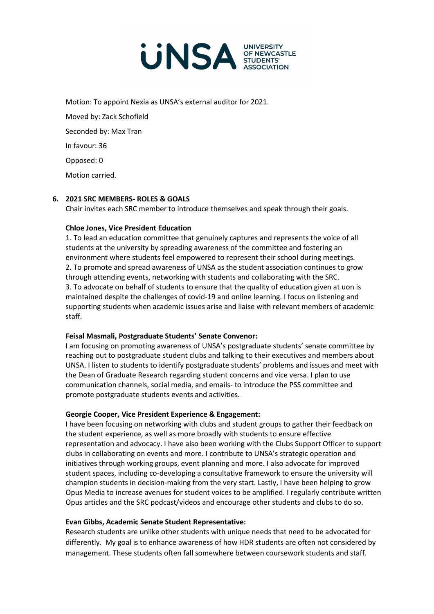

Motion: To appoint Nexia as UNSA's external auditor for 2021.

Moved by: Zack Schofield Seconded by: Max Tran In favour: 36 Opposed: 0 Motion carried.

# **6. 2021 SRC MEMBERS- ROLES & GOALS**

Chair invites each SRC member to introduce themselves and speak through their goals.

# **Chloe Jones, Vice President Education**

1. To lead an education committee that genuinely captures and represents the voice of all students at the university by spreading awareness of the committee and fostering an environment where students feel empowered to represent their school during meetings. 2. To promote and spread awareness of UNSA as the student association continues to grow through attending events, networking with students and collaborating with the SRC. 3. To advocate on behalf of students to ensure that the quality of education given at uon is maintained despite the challenges of covid-19 and online learning. I focus on listening and supporting students when academic issues arise and liaise with relevant members of academic staff.

#### **Feisal Masmali, Postgraduate Students' Senate Convenor:**

I am focusing on promoting awareness of UNSA's postgraduate students' senate committee by reaching out to postgraduate student clubs and talking to their executives and members about UNSA. I listen to students to identify postgraduate students' problems and issues and meet with the Dean of Graduate Research regarding student concerns and vice versa. I plan to use communication channels, social media, and emails- to introduce the PSS committee and promote postgraduate students events and activities.

#### **Georgie Cooper, Vice President Experience & Engagement:**

I have been focusing on networking with clubs and student groups to gather their feedback on the student experience, as well as more broadly with students to ensure effective representation and advocacy. I have also been working with the Clubs Support Officer to support clubs in collaborating on events and more. I contribute to UNSA's strategic operation and initiatives through working groups, event planning and more. I also advocate for improved student spaces, including co-developing a consultative framework to ensure the university will champion students in decision-making from the very start. Lastly, I have been helping to grow Opus Media to increase avenues for student voices to be amplified. I regularly contribute written Opus articles and the SRC podcast/videos and encourage other students and clubs to do so.

#### **Evan Gibbs, Academic Senate Student Representative:**

Research students are unlike other students with unique needs that need to be advocated for differently. My goal is to enhance awareness of how HDR students are often not considered by management. These students often fall somewhere between coursework students and staff.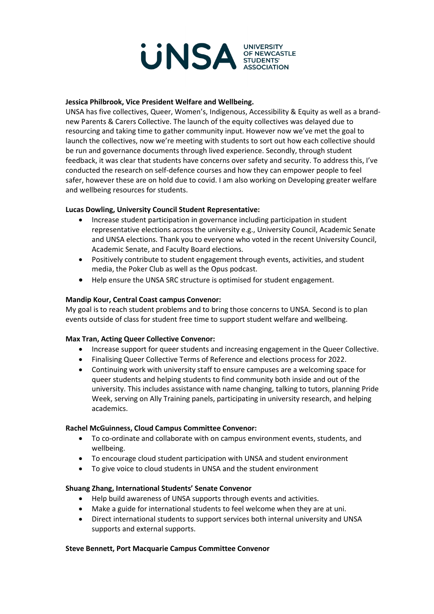

#### **Jessica Philbrook, Vice President Welfare and Wellbeing.**

UNSA has five collectives, Queer, Women's, Indigenous, Accessibility & Equity as well as a brandnew Parents & Carers Collective. The launch of the equity collectives was delayed due to resourcing and taking time to gather community input. However now we've met the goal to launch the collectives, now we're meeting with students to sort out how each collective should be run and governance documents through lived experience. Secondly, through student feedback, it was clear that students have concerns over safety and security. To address this, I've conducted the research on self-defence courses and how they can empower people to feel safer, however these are on hold due to covid. I am also working on Developing greater welfare and wellbeing resources for students.

# **Lucas Dowling, University Council Student Representative:**

- Increase student participation in governance including participation in student representative elections across the university e.g., University Council, Academic Senate and UNSA elections. Thank you to everyone who voted in the recent University Council, Academic Senate, and Faculty Board elections.
- Positively contribute to student engagement through events, activities, and student media, the Poker Club as well as the Opus podcast.
- Help ensure the UNSA SRC structure is optimised for student engagement.

# **Mandip Kour, Central Coast campus Convenor:**

My goal is to reach student problems and to bring those concerns to UNSA. Second is to plan events outside of class for student free time to support student welfare and wellbeing.

#### **Max Tran, Acting Queer Collective Convenor:**

- Increase support for queer students and increasing engagement in the Queer Collective.
- Finalising Queer Collective Terms of Reference and elections process for 2022.
- Continuing work with university staff to ensure campuses are a welcoming space for queer students and helping students to find community both inside and out of the university. This includes assistance with name changing, talking to tutors, planning Pride Week, serving on Ally Training panels, participating in university research, and helping academics.

#### **Rachel McGuinness, Cloud Campus Committee Convenor:**

- To co-ordinate and collaborate with on campus environment events, students, and wellbeing.
- To encourage cloud student participation with UNSA and student environment
- To give voice to cloud students in UNSA and the student environment

#### **Shuang Zhang, International Students' Senate Convenor**

- Help build awareness of UNSA supports through events and activities.
- Make a guide for international students to feel welcome when they are at uni.
- Direct international students to support services both internal university and UNSA supports and external supports.

#### **Steve Bennett, Port Macquarie Campus Committee Convenor**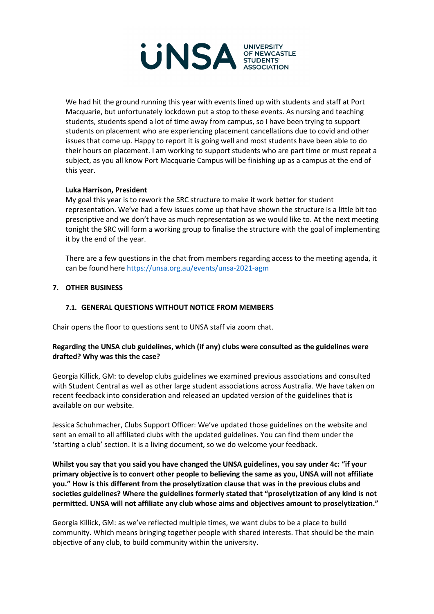

We had hit the ground running this year with events lined up with students and staff at Port Macquarie, but unfortunately lockdown put a stop to these events. As nursing and teaching students, students spend a lot of time away from campus, so I have been trying to support students on placement who are experiencing placement cancellations due to covid and other issues that come up. Happy to report it is going well and most students have been able to do their hours on placement. I am working to support students who are part time or must repeat a subject, as you all know Port Macquarie Campus will be finishing up as a campus at the end of this year.

# **Luka Harrison, President**

My goal this year is to rework the SRC structure to make it work better for student representation. We've had a few issues come up that have shown the structure is a little bit too prescriptive and we don't have as much representation as we would like to. At the next meeting tonight the SRC will form a working group to finalise the structure with the goal of implementing it by the end of the year.

There are a few questions in the chat from members regarding access to the meeting agenda, it can be found here [https://unsa.org.au/events/unsa-2021-agm](https://unsa.org.au/Events/unsa-2021-agm)

#### **7. OTHER BUSINESS**

# **7.1. GENERAL QUESTIONS WITHOUT NOTICE FROM MEMBERS**

Chair opens the floor to questions sent to UNSA staff via zoom chat.

#### **Regarding the UNSA club guidelines, which (if any) clubs were consulted as the guidelines were drafted? Why was this the case?**

Georgia Killick, GM: to develop clubs guidelines we examined previous associations and consulted with Student Central as well as other large student associations across Australia. We have taken on recent feedback into consideration and released an updated version of the guidelines that is available on our website.

Jessica Schuhmacher, Clubs Support Officer: We've updated those guidelines on the website and sent an email to all affiliated clubs with the updated guidelines. You can find them under the 'starting a club' section. It is a living document, so we do welcome your feedback.

**Whilst you say that you said you have changed the UNSA guidelines, you say under 4c: "if your primary objective is to convert other people to believing the same as you, UNSA will not affiliate you." How is this different from the proselytization clause that was in the previous clubs and societies guidelines? Where the guidelines formerly stated that "proselytization of any kind is not permitted. UNSA will not affiliate any club whose aims and objectives amount to proselytization."**

Georgia Killick, GM: as we've reflected multiple times, we want clubs to be a place to build community. Which means bringing together people with shared interests. That should be the main objective of any club, to build community within the university.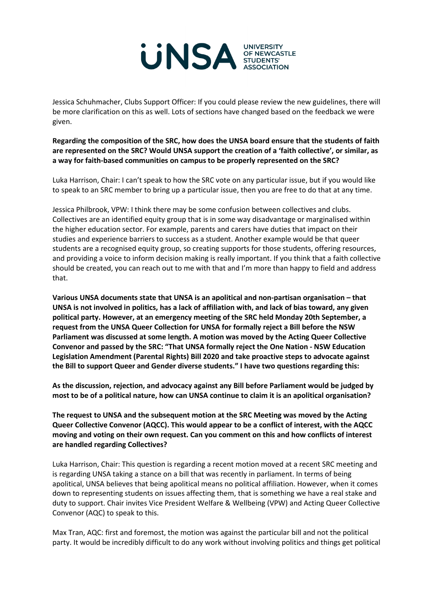

Jessica Schuhmacher, Clubs Support Officer: If you could please review the new guidelines, there will be more clarification on this as well. Lots of sections have changed based on the feedback we were given.

**Regarding the composition of the SRC, how does the UNSA board ensure that the students of faith are represented on the SRC? Would UNSA support the creation of a 'faith collective', or similar, as a way for faith-based communities on campus to be properly represented on the SRC?**

Luka Harrison, Chair: I can't speak to how the SRC vote on any particular issue, but if you would like to speak to an SRC member to bring up a particular issue, then you are free to do that at any time.

Jessica Philbrook, VPW: I think there may be some confusion between collectives and clubs. Collectives are an identified equity group that is in some way disadvantage or marginalised within the higher education sector. For example, parents and carers have duties that impact on their studies and experience barriers to success as a student. Another example would be that queer students are a recognised equity group, so creating supports for those students, offering resources, and providing a voice to inform decision making is really important. If you think that a faith collective should be created, you can reach out to me with that and I'm more than happy to field and address that.

**Various UNSA documents state that UNSA is an apolitical and non-partisan organisation – that UNSA is not involved in politics, has a lack of affiliation with, and lack of bias toward, any given political party. However, at an emergency meeting of the SRC held Monday 20th September, a request from the UNSA Queer Collection for UNSA for formally reject a Bill before the NSW Parliament was discussed at some length. A motion was moved by the Acting Queer Collective Convenor and passed by the SRC: "That UNSA formally reject the One Nation - NSW Education Legislation Amendment (Parental Rights) Bill 2020 and take proactive steps to advocate against the Bill to support Queer and Gender diverse students." I have two questions regarding this:**

**As the discussion, rejection, and advocacy against any Bill before Parliament would be judged by most to be of a political nature, how can UNSA continue to claim it is an apolitical organisation?**

**The request to UNSA and the subsequent motion at the SRC Meeting was moved by the Acting Queer Collective Convenor (AQCC). This would appear to be a conflict of interest, with the AQCC moving and voting on their own request. Can you comment on this and how conflicts of interest are handled regarding Collectives?**

Luka Harrison, Chair: This question is regarding a recent motion moved at a recent SRC meeting and is regarding UNSA taking a stance on a bill that was recently in parliament. In terms of being apolitical, UNSA believes that being apolitical means no political affiliation. However, when it comes down to representing students on issues affecting them, that is something we have a real stake and duty to support. Chair invites Vice President Welfare & Wellbeing (VPW) and Acting Queer Collective Convenor (AQC) to speak to this.

Max Tran, AQC: first and foremost, the motion was against the particular bill and not the political party. It would be incredibly difficult to do any work without involving politics and things get political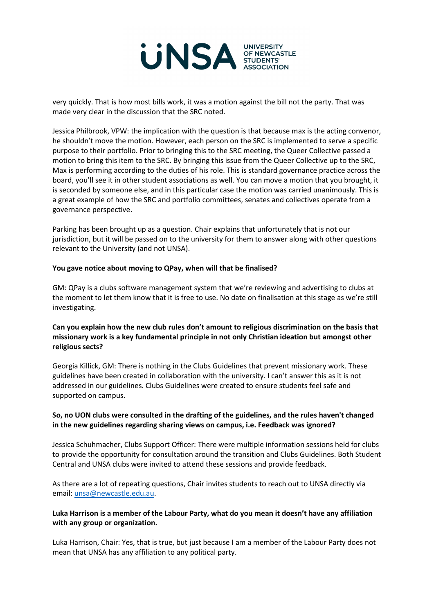

very quickly. That is how most bills work, it was a motion against the bill not the party. That was made very clear in the discussion that the SRC noted.

Jessica Philbrook, VPW: the implication with the question is that because max is the acting convenor, he shouldn't move the motion. However, each person on the SRC is implemented to serve a specific purpose to their portfolio. Prior to bringing this to the SRC meeting, the Queer Collective passed a motion to bring this item to the SRC. By bringing this issue from the Queer Collective up to the SRC, Max is performing according to the duties of his role. This is standard governance practice across the board, you'll see it in other student associations as well. You can move a motion that you brought, it is seconded by someone else, and in this particular case the motion was carried unanimously. This is a great example of how the SRC and portfolio committees, senates and collectives operate from a governance perspective.

Parking has been brought up as a question. Chair explains that unfortunately that is not our jurisdiction, but it will be passed on to the university for them to answer along with other questions relevant to the University (and not UNSA).

#### **You gave notice about moving to QPay, when will that be finalised?**

GM: QPay is a clubs software management system that we're reviewing and advertising to clubs at the moment to let them know that it is free to use. No date on finalisation at this stage as we're still investigating.

# **Can you explain how the new club rules don't amount to religious discrimination on the basis that missionary work is a key fundamental principle in not only Christian ideation but amongst other religious sects?**

Georgia Killick, GM: There is nothing in the Clubs Guidelines that prevent missionary work. These guidelines have been created in collaboration with the university. I can't answer this as it is not addressed in our guidelines. Clubs Guidelines were created to ensure students feel safe and supported on campus.

# **So, no UON clubs were consulted in the drafting of the guidelines, and the rules haven't changed in the new guidelines regarding sharing views on campus, i.e. Feedback was ignored?**

Jessica Schuhmacher, Clubs Support Officer: There were multiple information sessions held for clubs to provide the opportunity for consultation around the transition and Clubs Guidelines. Both Student Central and UNSA clubs were invited to attend these sessions and provide feedback.

As there are a lot of repeating questions, Chair invites students to reach out to UNSA directly via email: [unsa@newcastle.edu.au.](mailto:unsa@newcastle.edu.au)

# **Luka Harrison is a member of the Labour Party, what do you mean it doesn't have any affiliation with any group or organization.**

Luka Harrison, Chair: Yes, that is true, but just because I am a member of the Labour Party does not mean that UNSA has any affiliation to any political party.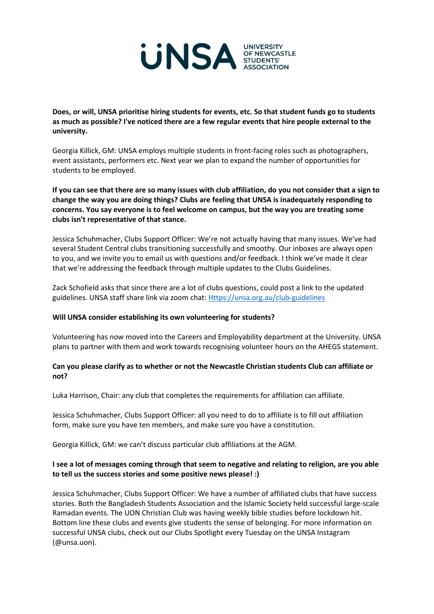

**Does, or will, UNSA prioritise hiring students for events, etc. So that student funds go to students as much as possible? I've noticed there are a few regular events that hire people external to the university.**

Georgia Killick, GM: UNSA employs multiple students in front-facing roles such as photographers, event assistants, performers etc. Next year we plan to expand the number of opportunities for students to be employed.

**If you can see that there are so many issues with club affiliation, do you not consider that a sign to change the way you are doing things? Clubs are feeling that UNSA is inadequately responding to concerns. You say everyone is to feel welcome on campus, but the way you are treating some clubs isn't representative of that stance.**

Jessica Schuhmacher, Clubs Support Officer: We're not actually having that many issues. We've had several Student Central clubs transitioning successfully and smoothy. Our inboxes are always open to you, and we invite you to email us with questions and/or feedback. I think we've made it clear that we're addressing the feedback through multiple updates to the Clubs Guidelines.

Zack Schofield asks that since there are a lot of clubs questions, could post a link to the updated guidelines. UNSA staff share link via zoom chat: [Https://unsa.org.au/club-guidelines](https://unsa.org.au/club-guidelines)

#### **Will UNSA consider establishing its own volunteering for students?**

Volunteering has now moved into the Careers and Employability department at the University. UNSA plans to partner with them and work towards recognising volunteer hours on the AHEGS statement.

#### **Can you please clarify as to whether or not the Newcastle Christian students Club can affiliate or not?**

Luka Harrison, Chair: any club that completes the requirements for affiliation can affiliate.

Jessica Schuhmacher, Clubs Support Officer: all you need to do to affiliate is to fill out affiliation form, make sure you have ten members, and make sure you have a constitution.

Georgia Killick, GM: we can't discuss particular club affiliations at the AGM.

# **I see a lot of messages coming through that seem to negative and relating to religion, are you able to tell us the success stories and some positive news please! :)**

Jessica Schuhmacher, Clubs Support Officer: We have a number of affiliated clubs that have success stories. Both the Bangladesh Students Association and the Islamic Society held successful large-scale Ramadan events. The UON Christian Club was having weekly bible studies before lockdown hit. Bottom line these clubs and events give students the sense of belonging. For more information on successful UNSA clubs, check out our Clubs Spotlight every Tuesday on the UNSA Instagram (@unsa.uon).